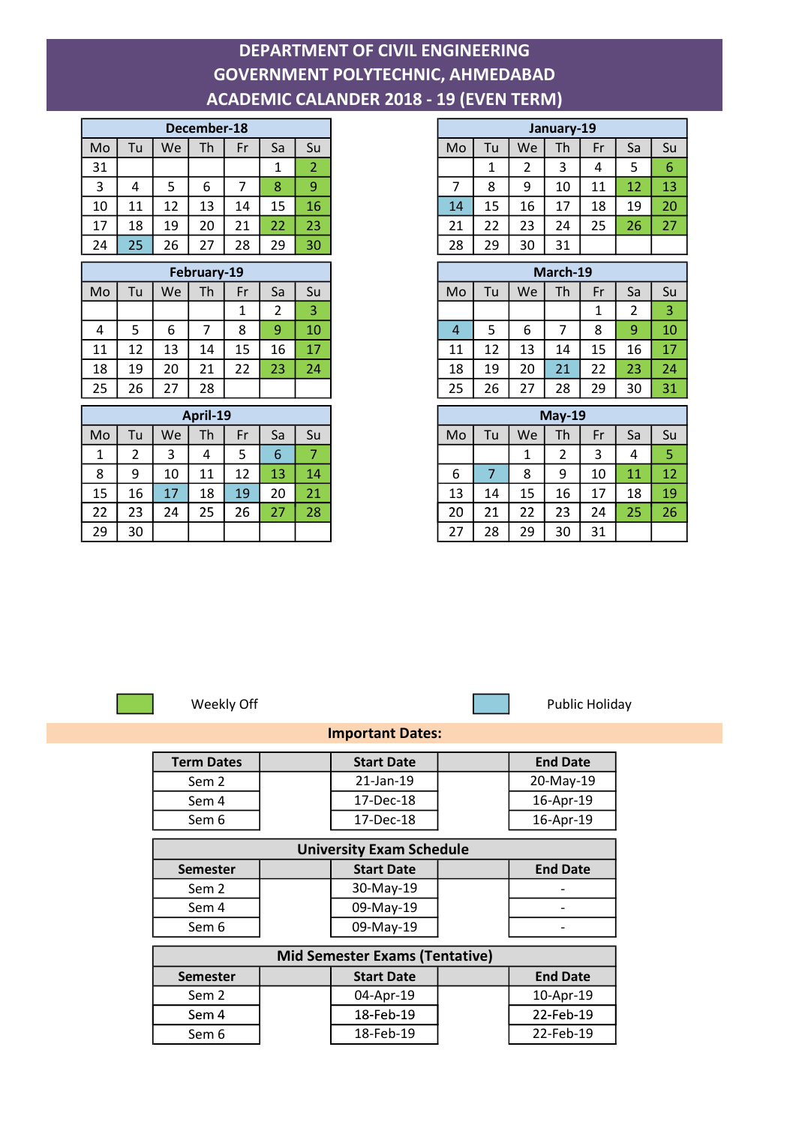## DEPARTMENT OF CIVIL ENGINEERING GOVERNMENT POLYTECHNIC, AHMEDABAD ACADEMIC CALANDER 2018 - 19 (EVEN TERM)

| December-18 |     |    |    |    |    |    |  |
|-------------|-----|----|----|----|----|----|--|
| Mo          | l u | We | Th | Fr | Sa | Su |  |
| 31          |     |    |    |    |    |    |  |
| 3           | 4   | 5  | 6  |    | 8  | 9  |  |
| 10          | 11  | 12 | 13 | 14 | 15 | 16 |  |
| 17          | 18  | 19 | 20 | 21 | 22 | 23 |  |
| 24          | 25  | 26 | 27 | 28 | 29 | 30 |  |

|    |    |         | February-19 |    |    |    |
|----|----|---------|-------------|----|----|----|
| Mo | Tu | We      | Th          | Fr | Sa | Su |
|    |    |         |             |    |    | 3  |
| 4  | 5  | 6       |             | 8  | 9  | 10 |
| 11 | 12 | 13      | 14          | 15 | 16 | 17 |
| 18 | 19 | 20      | 21          | 22 | 23 | 24 |
| 25 | 26 | 27<br>7 | 28          |    |    |    |

| April-19 |    |    |    |    |    |    |
|----------|----|----|----|----|----|----|
| Mo       | Tu | We | Th | Fr | Sa | Su |
| 1        | າ  |    | 4  | כ  | 6  |    |
| 8        | 9  | 10 | 11 | 12 | 13 | 14 |
| 15       | 16 | 17 | 18 | 19 | 20 | 21 |
| 22       | 23 | 24 | 25 | 26 | 27 | 28 |
| 29       | 30 |    |    |    |    |    |

| December-18 |                |    |                |              |                |                |
|-------------|----------------|----|----------------|--------------|----------------|----------------|
| Mo          | Tu             | We | Th             | Fr           | Sa             | Su             |
| 31          |                |    |                |              | 1              | 2              |
| 3           | 4              | 5  | 6              | 7            | 8              | 9              |
| 10          | 11             | 12 | 13             | 14           | 15             | 16             |
| 17          | 18             | 19 | 20             | 21           | 22             | 23             |
| 24          | 25             | 26 | 27             | 28           | 29             | 30             |
| February-19 |                |    |                |              |                |                |
| Mo          | Tu             | We | Th             | Fr           | Sa             | Su             |
|             |                |    |                | $\mathbf{1}$ | $\overline{2}$ | 3              |
| 4           | 5              | 6  | $\overline{7}$ | 8            | 9              | 10             |
| 11          | 12             | 13 | 14             | 15           | 16             | 17             |
| 18          | 19             | 20 | 21             | 22           | 23             | 24             |
| 25          | 26             | 27 | 28             |              |                |                |
| April-19    |                |    |                |              |                |                |
| Mo          | Tu             | We | Th             | Fr           | Sa             | Su             |
| 1           | $\overline{2}$ | 3  | 4              | 5            | 6              | $\overline{7}$ |
| 8           | 9              | 10 | 11             | 12           | 13             | 14             |



Weekly Off **Public Holiday** 

## Important Dates:

| <b>Term Dates</b>               | <b>Start Date</b> | <b>End Date</b> |  |  |  |  |  |  |
|---------------------------------|-------------------|-----------------|--|--|--|--|--|--|
| Sem 2                           | 21-Jan-19         | 20-May-19       |  |  |  |  |  |  |
| Sem 4                           | 17-Dec-18         | 16-Apr-19       |  |  |  |  |  |  |
| Sem 6                           | 17-Dec-18         | 16-Apr-19       |  |  |  |  |  |  |
| <b>University Exam Schedule</b> |                   |                 |  |  |  |  |  |  |
|                                 |                   |                 |  |  |  |  |  |  |
| <b>Semester</b>                 | <b>Start Date</b> | <b>End Date</b> |  |  |  |  |  |  |
| Sem 2                           | 30-May-19         |                 |  |  |  |  |  |  |
| Sem 4                           | 09-May-19         |                 |  |  |  |  |  |  |

| <b>Mid Semester Exams (Tentative)</b> |  |                   |  |                 |  |  |  |
|---------------------------------------|--|-------------------|--|-----------------|--|--|--|
| <b>Semester</b>                       |  | <b>Start Date</b> |  | <b>End Date</b> |  |  |  |
| Sem 2                                 |  | 04-Apr-19         |  | 10-Apr-19       |  |  |  |
| Sem 4                                 |  | 18-Feb-19         |  | 22-Feb-19       |  |  |  |
| Sem 6                                 |  | 18-Feb-19         |  | 22-Feb-19       |  |  |  |